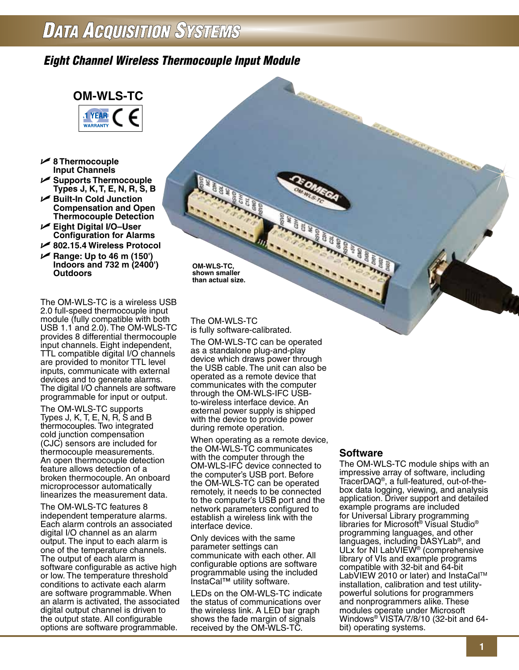## *Eight Channel Wireless Thermocouple Input Module*



- U **8 Thermocouple Input Channels**
- U **Supports Thermocouple Types J, K, T, E, N, R, S, B**
- U **Built-In Cold Junction Compensation and Open Thermocouple Detection**
- U **Eight Digital I/O–User Configuration for Alarms**
- U **802.15.4 Wireless Protocol**
- U **Range: Up to 46 m (150') Indoors and 732 m (2400') Outdoors**

The OM-WLS-TC is a wireless USB 2.0 full-speed thermocouple input module (fully compatible with both USB 1.1 and 2.0). The OM-WLS-TC provides 8 differential thermocouple input channels. Eight independent, TTL compatible digital I/O channels are provided to monitor TTL level inputs, communicate with external devices and to generate alarms. The digital I/O channels are software programmable for input or output.

The OM-WLS-TC supports Types J, K, T, E, N, R, S and B thermocouples. Two integrated cold junction compensation (CJC) sensors are included for thermocouple measurements. An open thermocouple detection feature allows detection of a broken thermocouple. An onboard microprocessor automatically linearizes the measurement data.

The OM-WLS-TC features 8 independent temperature alarms. Each alarm controls an associated digital I/O channel as an alarm output. The input to each alarm is one of the temperature channels. The output of each alarm is software configurable as active high or low. The temperature threshold conditions to activate each alarm are software programmable. When an alarm is activated, the associated digital output channel is driven to the output state. All configurable options are software programmable.

**OM-WLS-TC, shown smaller than actual size.**

### The OM-WLS-TC is fully software-calibrated.

The OM-WLS-TC can be operated as a standalone plug-and-play device which draws power through the USB cable. The unit can also be operated as a remote device that communicates with the computer through the OM-WLS-IFC USBto-wireless interface device. An external power supply is shipped with the device to provide power during remote operation.

When operating as a remote device, the OM-WLS-TC communicates with the computer through the OM-WLS-IFC device connected to the computer's USB port. Before the OM-WLS-TC can be operated remotely, it needs to be connected to the computer's USB port and the network parameters configured to establish a wireless link with the interface device.

Only devices with the same parameter settings can communicate with each other. All configurable options are software programmable using the included InstaCal™ utility software.

LEDs on the OM-WLS-TC indicate the status of communications over the wireless link. A LED bar graph shows the fade margin of signals received by the OM-WLS-TC.

## **Software**

The OM-WLS-TC module ships with an impressive array of software, including TracerDAQ®, a full-featured, out-of-thebox data logging, viewing, and analysis application. Driver support and detailed example programs are included for Universal Library programming libraries for Microsoft® Visual Studio® programming languages, and other languages, including DASYLab®, and ULx for NI LabVIEW® (comprehensive library of VIs and example programs compatible with 32-bit and 64-bit LabVIEW 2010 or later) and InstaCal™ installation, calibration and test utilitypowerful solutions for programmers and nonprogrammers alike. These modules operate under Microsoft Windows® VISTA/7/8/10 (32-bit and 64 bit) operating systems.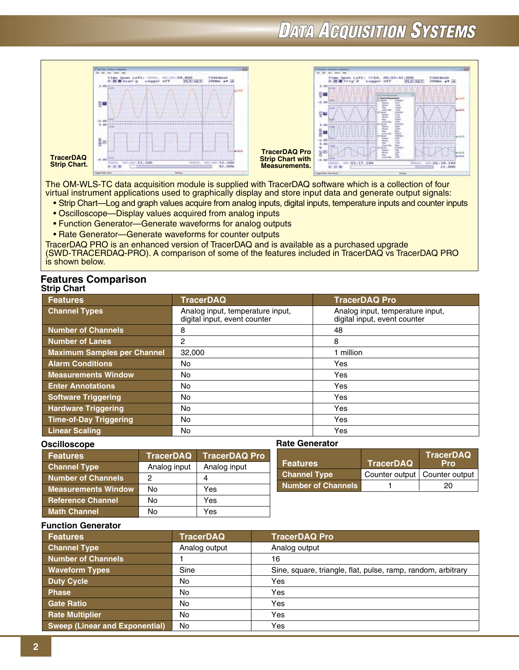

The OM-WLS-TC data acquisition module is supplied with TracerDAQ software which is a collection of four virtual instrument applications used to graphically display and store input data and generate output signals:

- Strip Chart—Log and graph values acquire from analog inputs, digital inputs, temperature inputs and counter inputs
- Oscilloscope—Display values acquired from analog inputs
- Function Generator—Generate waveforms for analog outputs
- Rate Generator—Generate waveforms for counter outputs

TracerDAQ PRO is an enhanced version of TracerDAQ and is available as a purchased upgrade

(SWD-TRACERDAQ-PRO). A comparison of some of the features included in TracerDAQ vs TracerDAQ PRO is shown below.

#### **Strip Chart Features Comparison**

| ייייש טוועי                        |                                                                  |                                                                  |
|------------------------------------|------------------------------------------------------------------|------------------------------------------------------------------|
| <b>Features</b>                    | <b>TracerDAQ</b>                                                 | <b>TracerDAQ Pro</b>                                             |
| <b>Channel Types</b>               | Analog input, temperature input,<br>digital input, event counter | Analog input, temperature input,<br>digital input, event counter |
| Number of Channels                 | 8                                                                | 48                                                               |
| Number of Lanes                    | $\overline{2}$                                                   | 8                                                                |
| <b>Maximum Samples per Channel</b> | 32,000                                                           | 1 million                                                        |
| <b>Alarm Conditions</b>            | No                                                               | Yes                                                              |
| <b>Measurements Window</b>         | No                                                               | Yes                                                              |
| <b>Enter Annotations</b>           | No                                                               | Yes                                                              |
| <b>Software Triggering</b>         | No                                                               | Yes                                                              |
| <b>Hardware Triggering</b>         | No                                                               | Yes                                                              |
| <b>Time-of-Day Triggering</b>      | No                                                               | Yes                                                              |
| <b>Linear Scaling</b>              | No                                                               | Yes                                                              |

### **Oscilloscope**

| <b>Features</b>            | <b>TracerDAQ</b> | <b>TracerDAQ Pro</b> |
|----------------------------|------------------|----------------------|
| <b>Channel Type</b>        | Analog input     | Analog input         |
| <b>Number of Channels</b>  | 2                |                      |
| <b>Measurements Window</b> | No               | Yes                  |
| <b>Reference Channel</b>   | No               | Yes                  |
| <b>Math Channel</b>        | N٥               | Yes                  |

| <b>Features</b>     | <b>TracerDAQ</b>                | <b>TracerDAQ</b><br><b>Pro</b> |
|---------------------|---------------------------------|--------------------------------|
| <b>Channel Type</b> | Counter output   Counter output |                                |
| Number of Channels  |                                 | 20                             |

## **Function Generator**

| <b>Features</b>                       | <b>TracerDAQ</b> | <b>TracerDAQ Pro</b>                                         |
|---------------------------------------|------------------|--------------------------------------------------------------|
| <b>Channel Type</b>                   | Analog output    | Analog output                                                |
| <b>Number of Channels</b>             |                  | 16                                                           |
| <b>Waveform Types</b>                 | Sine             | Sine, square, triangle, flat, pulse, ramp, random, arbitrary |
| <b>Duty Cycle</b>                     | <b>No</b>        | Yes                                                          |
| <b>Phase</b>                          | <b>No</b>        | Yes                                                          |
| <b>Gate Ratio</b>                     | <b>No</b>        | Yes                                                          |
| <b>Rate Multiplier</b>                | <b>No</b>        | Yes                                                          |
| <b>Sweep (Linear and Exponential)</b> | <b>No</b>        | Yes                                                          |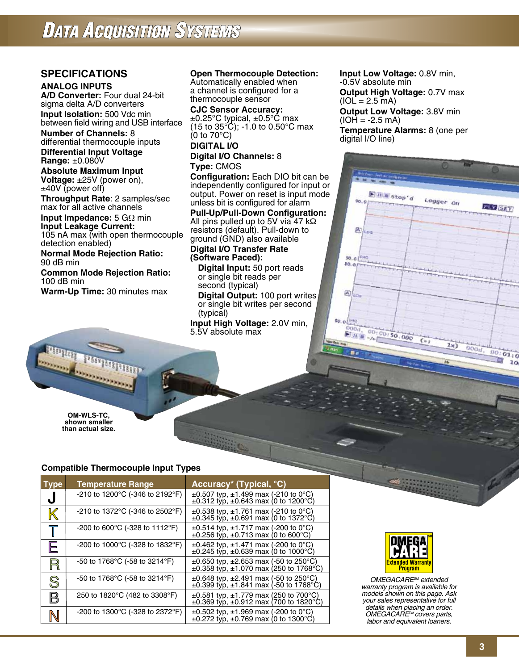## **SPECIFICATIONS**

## **ANALOG INPUTS**

**A/D Converter:** Four dual 24-bit sigma delta A/D converters **Input Isolation:** 500 Vdc min between field wiring and USB interface

**Number of Channels:** 8 differential thermocouple inputs

**Differential Input Voltage Range:** ±0.080V

**Absolute Maximum Input Voltage:**  $\pm 25V$  (power on), ±40V (power off)

**Throughput Rate**: 2 samples/sec max for all active channels

**Input Impedance:** 5 GΩ min **Input Leakage Current:**

105 nA max (with open thermocouple detection enabled)

**Normal Mode Rejection Ratio:** 90 dB min

**Common Mode Rejection Ratio:**  100 dB min

**Warm-Up Time:** 30 minutes max

## **Open Thermocouple Detection:**

Automatically enabled when a channel is configured for a thermocouple sensor

**CJC Sensor Accuracy:** ±0.25°C typical, ±0.5°C max (15 to 35°C); -1.0 to 0.50°C max (0 to 70°C)

### **DIGITAL I/O Digital I/O Channels:** 8

## **Type:** CMOS

**Configuration:** Each DIO bit can be independently configured for input or output. Power on reset is input mode unless bit is configured for alarm

**Pull-Up/Pull-Down Configuration:** All pins pulled up to 5V via 47 kΩ resistors (default). Pull-down to ground (GND) also available

### **Digital I/O Transfer Rate (Software Paced):**

**Digital Input:** 50 port reads or single bit reads per second (typical)

**Digital Output:** 100 port writes or single bit writes per second (typical)

**Input High Voltage:** 2.0V min, 5.5V absolute max

**Input Low Voltage:** 0.8V min, -0.5V absolute min **Output High Voltage:** 0.7V max  $(IOL = 2.5mA)$ **Output Low Voltage:** 3.8V min  $(IOH = -2.5 mA)$ 

**Temperature Alarms:** 8 (one per digital I/O line)



**OM-WLS-TC, shown smaller than actual size.**

## **Compatible Thermocouple Input Types**

| Type          | <b>Temperature Range</b>                              | Accuracy* (Typical, °C)                                                                               |
|---------------|-------------------------------------------------------|-------------------------------------------------------------------------------------------------------|
| ل             | -210 to 1200 $^{\circ}$ C (-346 to 2192 $^{\circ}$ F) | $\pm 0.507$ typ, $\pm 1.499$ max (-210 to 0°C)<br>$\pm 0.312$ typ, $\pm 0.643$ max (0 to 1200°C)      |
| ${\mathbb K}$ | -210 to 1372°C (-346 to 2502°F)                       | $\pm 0.538$ typ, $\pm 1.761$ max (-210 to 0°C)<br>$\pm 0.345$ typ, $\pm 0.691$ max (0 to 1372°C)      |
| $\top$        | -200 to 600 $^{\circ}$ C (-328 to 1112 $^{\circ}$ F)  | $\pm 0.514$ typ, $\pm 1.717$ max (-200 to 0°C)<br>$\pm 0.256$ typ, $\pm 0.713$ max (0 to 600°C)       |
| E             | -200 to 1000 $^{\circ}$ C (-328 to 1832 $^{\circ}$ F) | $\pm 0.462$ typ, $\pm 1.471$ max (-200 to 0°C)<br>$\pm 0.245$ typ, $\pm 0.639$ max (0 to 1000°C)      |
| $\mathbb{R}$  | -50 to 1768°C (-58 to 3214°F)                         | $\pm 0.650$ typ, $\pm 2.653$ max (-50 to 250 °C)<br>$\pm 0.358$ typ, $\pm 1.070$ max (250 to 1768°C)  |
| S             | -50 to 1768°C (-58 to 3214°F)                         | $\pm 0.648$ typ, $\pm 2.491$ max (-50 to 250 °C)<br>$\pm 0.399$ typ, $\pm 1.841$ max (-50 to 1768 °C) |
| B             | 250 to 1820°C (482 to 3308°F)                         | $\pm 0.581$ typ, $\pm 1.779$ max (250 to 700°C)<br>$\pm 0.369$ typ, $\pm 0.912$ max (700 to 1820°C)   |
| N             | -200 to 1300 $^{\circ}$ C (-328 to 2372 $^{\circ}$ F) | $\pm 0.502$ typ, $\pm 1.969$ max (-200 to 0°C)<br>$\pm 0.272$ typ, $\pm 0.769$ max (0 to 1300°C)      |



*OMEGACARESM extended warranty program is available for models shown on this page. Ask your sales representative for full details when placing an order. OMEGACARESM covers parts, labor and equivalent loaners.*

D 10